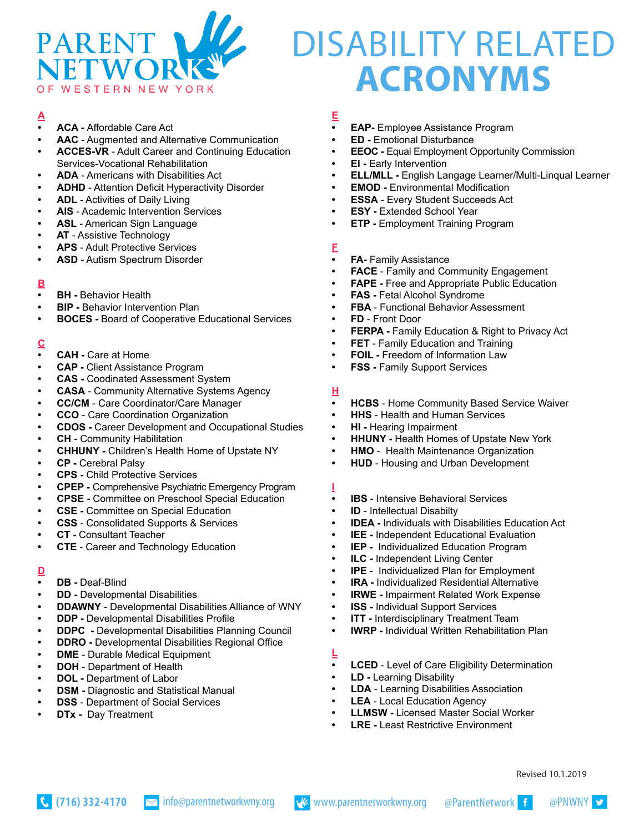

# DISABILITY RELATED **ACRONYMS**

# **A**

- **• ACA** Affordable Care Act
- **• AAC**  Augmented and Alternative Communication
- **• ACCES-VR**  Adult Career and Continuing Education Services-Vocational Rehabilitation
- **• ADA** Americans with Disabilities Act
- **• ADHD** Attention Deficit Hyperactivity Disorder
- **• ADL** Activities of Daily Living
- **• AIS** Academic Intervention Services
- **• ASL** American Sign Language
- **• AT** Assistive Technology
- **• APS**  Adult Protective Services
- **• ASD** Autism Spectrum Disorder

#### **B**

- **• BH** Behavior Health
- **• BIP** Behavior Intervention Plan
- **• BOCES** Board of Cooperative Educational Services

# **C**

- **• CAH** Care at Home
- **• CAP -** Client Assistance Program
- **• CAS -** Coodinated Assessment System
- **• CASA** Community Alternative Systems Agency
- **• CC/CM** Care Coordinator/Care Manager
- **• CCO** Care Coordination Organization
- **• CDOS** Career Development and Occupational Studies
- **• CH** Community Habilitation
- **• CHHUNY** Children's Health Home of Upstate NY
- **• CP** Cerebral Palsy
- **• CPS** Child Protective Services
- **• CPEP** Comprehensive Psychiatric Emergency Program
- **• CPSE -** Committee on Preschool Special Education
- **• CSE -** Committee on Special Education
- **• CSS** Consolidated Supports & Services
- **• CT -** Consultant Teacher
- **• CTE** Career and Technology Education

# **D**

- **• DB** Deaf-Blind
- **• DD -** Developmental Disabilities
- **• DDAWNY** Developmental Disabilities Alliance of WNY
- **• DDP -** Developmental Disabilities Profile
- **• DDPC** Developmental Disabilities Planning Council
- **• DDRO -** Developmental Disabilities Regional Office
- **• DME**  Durable Medical Equipment
- **• DOH** Department of Health
- **• DOL** Department of Labor
- **• DSM -** Diagnostic and Statistical Manual
- **• DSS** Department of Social Services
- **• DTx** Day Treatment

#### **E**

- **• EAP-** Employee Assistance Program
- **• ED -** Emotional Disturbance
- **• EEOC** Equal Employment Opportunity Commission
- **• EI** Early Intervention
- **• ELL/MLL -** English Langage Learner/Multi-Linqual Learner
- **• EMOD** Environmental Modification
- **• ESSA** Every Student Succeeds Act
- **• ESY -** Extended School Year
- **• ETP** Employment Training Program

#### **F**

- **• FA-** Family Assistance
- **• FACE** Family and Community Engagement
- **• FAPE -** Free and Appropriate Public Education
- **• FAS** Fetal Alcohol Syndrome
- **• FBA**  Functional Behavior Assessment
- **• FD**  Front Door
- **• FERPA -** Family Education & Right to Privacy Act
- **• FET** Family Education and Training
- **• FOIL** Freedom of Information Law
- **• FSS -** Family Support Services

#### **H**

- **• HCBS** Home Community Based Service Waiver
- **• HHS** Health and Human Services
- **• HI -** Hearing Impairment
- **• HHUNY -** Health Homes of Upstate New York
- **• HMO** Health Maintenance Organization
- **• HUD** Housing and Urban Development

**I**

- **• IBS**  Intensive Behavioral Services
- **• ID** Intellectual Disabilty
- **• IDEA** Individuals with Disabilities Education Act
- **• IEE -** Independent Educational Evaluation
- **• IEP** Individualized Education Program
- **• ILC** Independent Living Center
- **• IPE**  Individualized Plan for Employment
- **• IRA** Individualized Residential Alternative
- **• IRWE** Impairment Related Work Expense
- **• ISS** Individual Support Services
- **• ITT** Interdisciplinary Treatment Team
- **• IWRP** Individual Written Rehabilitation Plan

#### **L**

**• LCED** - Level of Care Eligibility Determination

Revised 10.1.2019

- **• LD** Learning Disability
- **• LDA** Learning Disabilities Association
- **• LEA** Local Education Agency
- **• LLMSW -** Licensed Master Social Worker
- **• LRE** Least Restrictive Environment